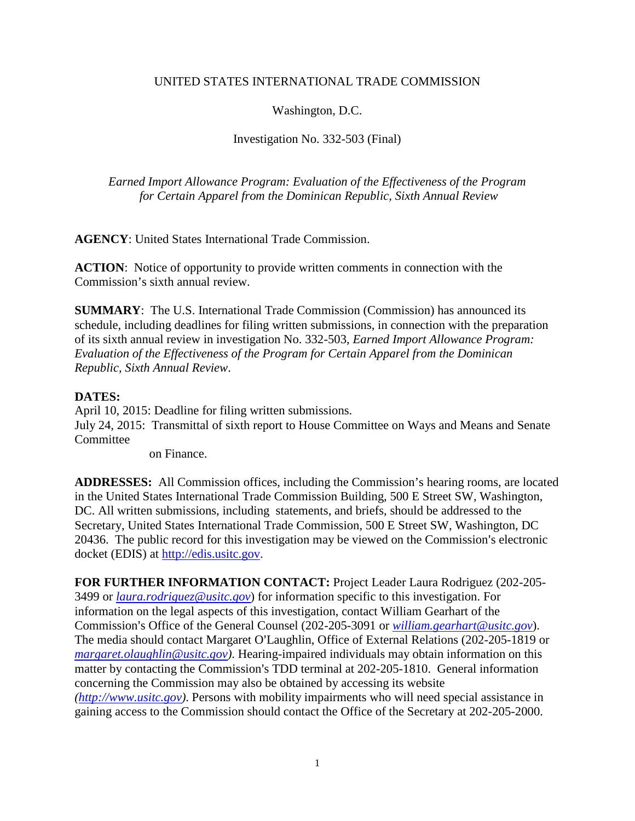## UNITED STATES INTERNATIONAL TRADE COMMISSION

## Washington, D.C.

## Investigation No. 332-503 (Final)

*Earned Import Allowance Program: Evaluation of the Effectiveness of the Program for Certain Apparel from the Dominican Republic, Sixth Annual Review*

**AGENCY**: United States International Trade Commission.

**ACTION**: Notice of opportunity to provide written comments in connection with the Commission's sixth annual review.

**SUMMARY**: The U.S. International Trade Commission (Commission) has announced its schedule, including deadlines for filing written submissions, in connection with the preparation of its sixth annual review in investigation No. 332-503, *Earned Import Allowance Program: Evaluation of the Effectiveness of the Program for Certain Apparel from the Dominican Republic, Sixth Annual Review*.

## **DATES:**

April 10, 2015: Deadline for filing written submissions. July 24, 2015: Transmittal of sixth report to House Committee on Ways and Means and Senate **Committee** 

on Finance.

**ADDRESSES:** All Commission offices, including the Commission's hearing rooms, are located in the United States International Trade Commission Building, 500 E Street SW, Washington, DC. All written submissions, including statements, and briefs, should be addressed to the Secretary, United States International Trade Commission, 500 E Street SW, Washington, DC 20436. The public record for this investigation may be viewed on the Commission's electronic docket (EDIS) at http://edis.usitc.gov.

**FOR FURTHER INFORMATION CONTACT:** Project Leader Laura Rodriguez (202-205- 3499 or *[laura.rodriguez@usitc.gov](mailto:laura.rodriguez@usitc.gov)*) for information specific to this investigation. For information on the legal aspects of this investigation, contact William Gearhart of the Commission's Office of the General Counsel (202-205-3091 or *[william.gearhart@usitc.gov](mailto:william.gearhart@usitc.gov)*). The media should contact Margaret O'Laughlin, Office of External Relations (202-205-1819 or *[margaret.olaughlin@usitc.gov\)](mailto:margaret.olaughlin@usitc.gov)*. Hearing-impaired individuals may obtain information on this matter by contacting the Commission's TDD terminal at 202-205-1810. General information concerning the Commission may also be obtained by accessing its website *[\(http://www.usitc.gov\)](http://www.usitc.gov/)*. Persons with mobility impairments who will need special assistance in gaining access to the Commission should contact the Office of the Secretary at 202-205-2000.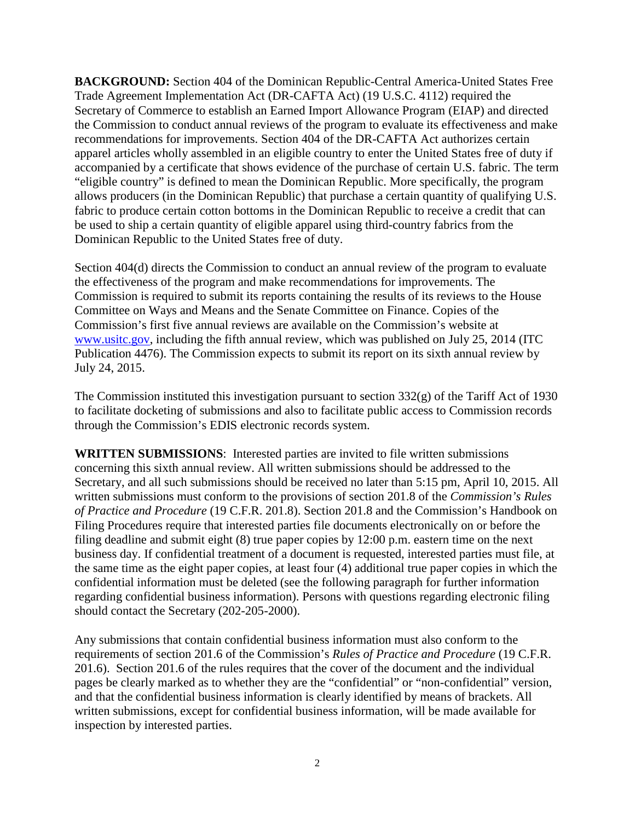**BACKGROUND:** Section 404 of the Dominican Republic-Central America-United States Free Trade Agreement Implementation Act (DR-CAFTA Act) (19 U.S.C. 4112) required the Secretary of Commerce to establish an Earned Import Allowance Program (EIAP) and directed the Commission to conduct annual reviews of the program to evaluate its effectiveness and make recommendations for improvements. Section 404 of the DR-CAFTA Act authorizes certain apparel articles wholly assembled in an eligible country to enter the United States free of duty if accompanied by a certificate that shows evidence of the purchase of certain U.S. fabric. The term "eligible country" is defined to mean the Dominican Republic. More specifically, the program allows producers (in the Dominican Republic) that purchase a certain quantity of qualifying U.S. fabric to produce certain cotton bottoms in the Dominican Republic to receive a credit that can be used to ship a certain quantity of eligible apparel using third-country fabrics from the Dominican Republic to the United States free of duty.

Section 404(d) directs the Commission to conduct an annual review of the program to evaluate the effectiveness of the program and make recommendations for improvements. The Commission is required to submit its reports containing the results of its reviews to the House Committee on Ways and Means and the Senate Committee on Finance. Copies of the Commission's first five annual reviews are available on the Commission's website at [www.usitc.gov,](http://www.usitc.gov/) including the fifth annual review, which was published on July 25, 2014 (ITC Publication 4476). The Commission expects to submit its report on its sixth annual review by July 24, 2015.

The Commission instituted this investigation pursuant to section 332(g) of the Tariff Act of 1930 to facilitate docketing of submissions and also to facilitate public access to Commission records through the Commission's EDIS electronic records system.

**WRITTEN SUBMISSIONS**: Interested parties are invited to file written submissions concerning this sixth annual review. All written submissions should be addressed to the Secretary, and all such submissions should be received no later than 5:15 pm, April 10, 2015. All written submissions must conform to the provisions of section 201.8 of the *Commission's Rules of Practice and Procedure* (19 C.F.R. 201.8). Section 201.8 and the Commission's Handbook on Filing Procedures require that interested parties file documents electronically on or before the filing deadline and submit eight (8) true paper copies by 12:00 p.m. eastern time on the next business day. If confidential treatment of a document is requested, interested parties must file, at the same time as the eight paper copies, at least four (4) additional true paper copies in which the confidential information must be deleted (see the following paragraph for further information regarding confidential business information). Persons with questions regarding electronic filing should contact the Secretary (202-205-2000).

Any submissions that contain confidential business information must also conform to the requirements of section 201.6 of the Commission's *Rules of Practice and Procedure* (19 C.F.R. 201.6). Section 201.6 of the rules requires that the cover of the document and the individual pages be clearly marked as to whether they are the "confidential" or "non-confidential" version, and that the confidential business information is clearly identified by means of brackets. All written submissions, except for confidential business information, will be made available for inspection by interested parties.